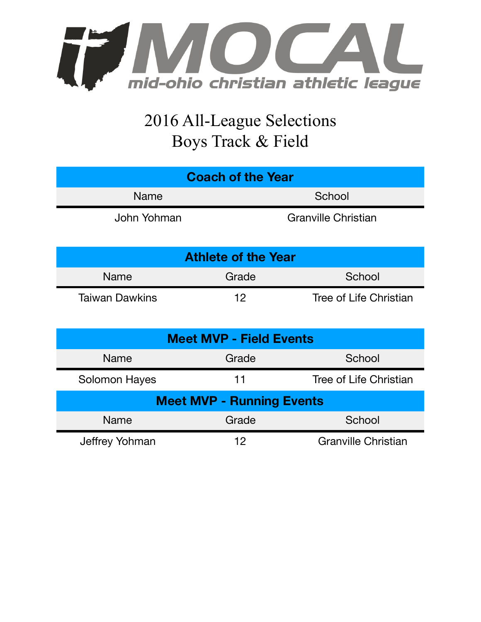

## 2016 All-League Selections Boys Track & Field

| <b>Coach of the Year</b>   |                            |  |  |  |
|----------------------------|----------------------------|--|--|--|
| <b>Name</b>                | School                     |  |  |  |
| John Yohman                | <b>Granville Christian</b> |  |  |  |
| <b>Athlete of the Year</b> |                            |  |  |  |

| <b>Name</b>           | Grade | School                 |
|-----------------------|-------|------------------------|
| <b>Taiwan Dawkins</b> | 1 오   | Tree of Life Christian |

| <b>Meet MVP - Field Events</b>   |                 |                            |  |  |  |
|----------------------------------|-----------------|----------------------------|--|--|--|
| <b>Name</b>                      | Grade<br>School |                            |  |  |  |
| <b>Solomon Hayes</b>             | 11              | Tree of Life Christian     |  |  |  |
| <b>Meet MVP - Running Events</b> |                 |                            |  |  |  |
| <b>Name</b>                      | Grade           | School                     |  |  |  |
| Jeffrey Yohman                   | 12              | <b>Granville Christian</b> |  |  |  |